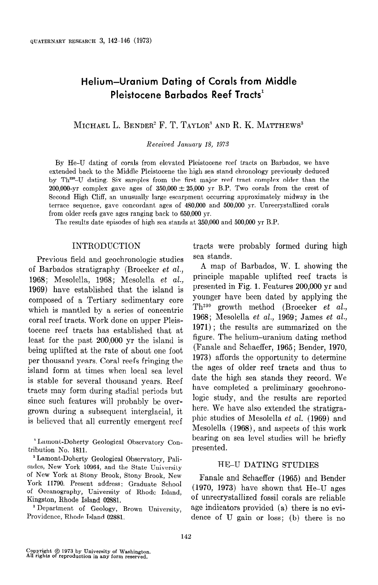# Helium-Uranium Dating of Corals from Middle Pleistocene Barbados Reef Tracts'

MICHAEL L. BENDER<sup>2</sup> F. T. TAYLOR<sup>3</sup> AND R. K. MATTHEWS<sup>3</sup>

Received January 18, 19YS

By He-U dating of corals from elevated Pleistocene reef tracts on Barbados, we have extended back to the Middle Pleistocene the high sea stand chronology previously deduced by Th<sup>230</sup>-U dating. Six samples from the first major reef tract complex older than the 200,000-yr complex gave ages of  $350,000 \pm 25,000$  yr B.P. Two corals from the crest of Second High Cliff, an unusually large escarpment occurring approximately midway in the terrace sequence, gave concordant ages of 480,000 and 500,000 yr. Unrecrystallized corals from older reefs gave ages ranging back to 650,000 yr.

The results date episodes of high sea stands at 350,000 and 500,000 yr B.P.

# INTRODUCTION

Previous field and geochronologic studies of Barbados stratigraphy (Broecker et al., 1968; Mesolella, 1968; Mesolella  $et$  al., 1969) have established that the island is composed of a Tertiary sedimentary core  $\frac{1}{1}$  is mantled by a settled by  $\frac{1}{1}$  is the concentration of concentration of concentration of concentration of concentration of concentration of concentration of concentration of concentration of concentration which is mantled by a series of concentric<br>coral reef tracts. Work done on upper Pleistocene reef tracts has established that at least for the past 200,000 yr the island is being up the past 200,000 yr the island is being uplifted at the rate of about one foot per thousand years. Coral reefs fringing the island form at times when local sea level is stable for several thousand vears. Reef tracts may form during stadial periods but since such features will probably be overgrown during a subsequent interglacial, it<br>is believed that all currently emergent reef

<sup>1</sup> Lamont-Doherty Geological Observatory Contribution No. 1811.

<sup>2</sup> Lamont-Doherty Geological Observatory, Palisades, New York 10964, and the State University of New York at Stony Brook, Stony Brook, New York 11790. Present address: Graduate School of Oceanography, University of Rhode Island, Kingston, Rhode Island 02881.

<sup>3</sup> Department of Geology, Brown University, Providence, Rhode Island 02881.

tracts were probably formed during high sea stands.

A map of Barbados, W. I. showing the principle mapable uplifted reef tracts is presented in Fig. 1. Features 200,000 yr and younger have been dated by applying the  $Th<sup>230</sup>$  growth method (Broecker et al., 1968; Mesolella et al., 1969; James et al., 1990, mesorena et al., 1999, James et al., figure. The head of the helium-uranized on the method method. figure. The helium-uranium dating method (Fanale and Schaeffer, 1965; Bender, 1970, 1973) affords the opportunity to determine the ages of older reef tracts and thus to date the high sea stands they record. We have completed a preliminary geochronohere. It is tudy, and the results are reported here. We have also extended the stratigraphic studies of Mesolella  $et$   $al.$  (1969) and Mesolella (1968), and aspects of this work bearing on sea level studies will be briefly presented.

# HE-U DATING STUDIES

Fanale and Schaeffer (1965) and Bender  $(1970, 1973)$  have shown that He-U ages of unrecrystallized fossil corals are reliable age indicators provided (a) there is no evidence of U gain or loss; (b) there is no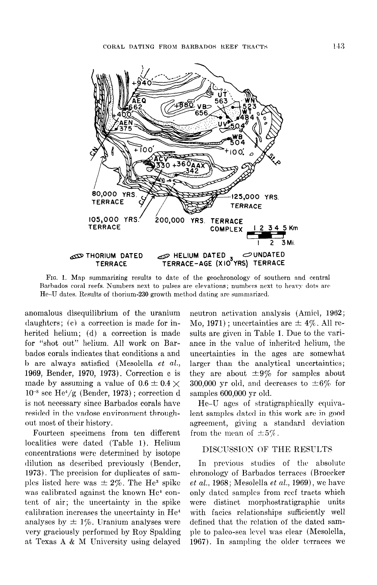

FIG. 1. Map summarizing results to date of the geochronology of southern and central Barbados coral reefs. Numbers next to pulses are elevations; numbers next to heavy dots are He-U dates. Results of thorium-230 growth method dating are summarized.

anomalous disequilibrium of the uranium daughters; (c) a correction is made for inherited helium; (d) a correction is made for "shot out" helium. All work on Barbados corals indicates that conditions a and b are always satisfied (Mesolella et al., 1969, Bender, 1970, 1973). Correction c is made by assuming a value of  $0.6 \pm 0.4 \times$  $10^{-8}$  scc He<sup>4</sup>/g (Bender, 1973); correction d is not necessary since Barbados corals have resided in the vadose environment throughout most of their history.

Fourteen specimens from ten different localities were dated (Table 1). Helium concentrations were determined by isotope dilution as described previously (Bender, 1973). The precision for duplicates of samples listed here was  $\pm 2\%$ . The He<sup>3</sup> spike was calibrated against the known He<sup>4</sup> content of air; the uncertainty in the spike calibration increases the uncertainty in He' analyses by  $\pm$  1%. Uranium analyses were very graciously performed by Roy Spalding at Texas A & M IJniversity using delayed neutron activation analysis (Amiel, 1962; Mo, 1971); uncertainties are  $\pm 4\%$ . All results are given in Table 1. Due to the variance in the value of inherited helium, the uncertainties in the ages are somewhat larger than the analytical uncertainties; they are about  $\pm 9\%$  for samples about 300,000 yr old, and decreases to  $\pm 6\%$  for samples 600,000 yr old.

He-U ages of stratigraphically equivalent samples dated in this work are in good agreement, giving a standard deviation from the mean of  $\pm 5\%$ .

## DISCUSSION OF THE RESULTS

In previous studies of the absolute chronology of Barbados terraces (Broecker  $et al., 1968; Mesolella et al., 1969)$ , we have only dated samples from reef tracts which were distinct morphostratigraphic units with facies relationships sufficiently well defined that the relation of the dated sample to palco-sea level was clear (Mesolella, 1967). In sampling the older terraces we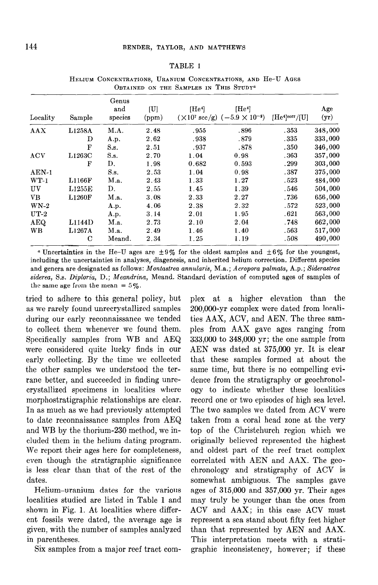#### TABLE 1

| Locality        | Sample      | Genus<br>and<br>species | U <br>(ppm) | [He <sup>4</sup> ] | [He <sup>4</sup> ]<br>$(\times 10^7 \text{ sec/g})$ $(-5.9 \times 10^{-9})$ | [He <sup>4</sup> ] <sup>corr</sup> /[U] | Age<br>(yr) |
|-----------------|-------------|-------------------------|-------------|--------------------|-----------------------------------------------------------------------------|-----------------------------------------|-------------|
| AAX             | L1258A      | M.A.                    | 2.48        | .955               | .896                                                                        | .353                                    | 348,000     |
|                 | D           | A.p.                    | 2.62        | .938               | .879                                                                        | .335                                    | 333,000     |
|                 | $\mathbf F$ | S.s.                    | 2.51        | .937               | .878                                                                        | .350                                    | 346,000     |
| <b>ACV</b>      | L1263C      | S.s.                    | 2.70        | 1.04               | 0.98                                                                        | .363                                    | 357,000     |
|                 | F           | D.                      | 1.98        | 0.682              | 0.593                                                                       | .299                                    | 303,000     |
| $AEN-1$         |             | S.s.                    | 2.53        | 1.04               | 0.98                                                                        | .387                                    | 375,000     |
| $WT-1$          | L1166F      | M.a.                    | 2.43        | 1.33               | 1.27                                                                        | .523                                    | 484,000     |
| UV              | L1255E      | D.                      | $2.55\,$    | 1.45               | 1.39                                                                        | .546                                    | 504,000     |
| VB.             | L1260F      | M.a.                    | 3.08        | 2.33               | 2.27                                                                        | .736                                    | 656,000     |
| WN <sub>2</sub> |             | A.p.                    | 4.06        | 2.38               | 2.32                                                                        | .572                                    | 523,000     |
| $UT-2$          |             | A.p.                    | 3.14        | 2.01               | 1.95                                                                        | .621                                    | 563,000     |
| AEQ             | L1144D      | M.a.                    | 2.73        | 2.10               | 2.04                                                                        | .748                                    | 662,000     |
| <b>WB</b>       | L1267A      | M.a.                    | 2.49        | 1.46               | 1.40                                                                        | .563                                    | 517,000     |
|                 | $\mathbf C$ | Meand.                  | 2.34        | 1.25               | 1.19                                                                        | .508                                    | 490,000     |

HELIUM CONCENTRATIONS, URANIUM CONCENTRATIONS, AND He-U AGES OBTAINED ON THE SAMPLES IN THIS STUDY<sup>a</sup>

<sup>a</sup> Uncertainties in the He-U ages are  $\pm 9\%$  for the oldest samples and  $\pm 6\%$  for the youngest, including the uncertainties in analyses, diagenesis, and inherited helium correction. Different species and genera are designated as follows: Montastrea annularis, M.a.; Acropora palmata, A.p.; Siderastrea siderea, S.s. Diploria, D.; Meandrina, Meand. Standard deviation of computed ages of samples of the same age from the mean =  $5\%$ .

tried to adhere to this general policy, but as we rarely found unrecrystallized samples during our early reconnaissance we tended to collect them whenever we found them. Specifically samples from WB and AEQ were considered quite lucky finds in our early collecting. By the time we collected  $\frac{1}{2}$  the other same we concede ene better samples we understood ene ter calle before, and succeded in linding ame morphostrations in tocalities where morphostratigraphic relationships are clear. In as much as we had previously attempted to date reconnaissance samples from AEQ and WB by the thorium-230 method, we included them in the helium dating program. We report their ages here for completeness, even though the stratigraphic significance is less clear than that of the rest of the dates.  $\text{ures.}$ 

Helium-uranium dates for the various localities studied are listed in Table 1 and shown in Fig. 1. At localities where different fossils were dated, the average age is given, with the number of samples analyzed in parentheses.

Six samples from a major reef tract com-

plex at a higher elevation than the 200,000-yr complex were dated from localities AAX, ACV, and AEN. The three samples from AAX gave ages ranging from 333,000 to 348,000 yr; the one sample from AEN was dated at 375,000 yr. It is clear that these samples formed at about the  $\frac{1}{2}$  is not complete formed at about  $\frac{1}{2}$ banic time, but there is no compounig or dence from the stratigraphy or geochronology to indicate whether these localities record one or two episodes of high sea level. The two samples we dated from ACV were taken from a coral head zone at the very top of the Christchurch region which we originally believed represented the highest and oldest part of the reef tract complex correlated with AEN and AAX. The geochronology and stratigraphy of ACV is somewhat ambiguous. The samples gave ages of  $315,000$  and  $357,000$  yr. Their ages may truly be younger than the ones from  $ACV$  and  $AAX$ ; in this case  $ACV$  must represent a sea stand about fifty feet higher than that represented by AEN and AAX. This interpretation meets with a stratigraphic inconsistency, however; if these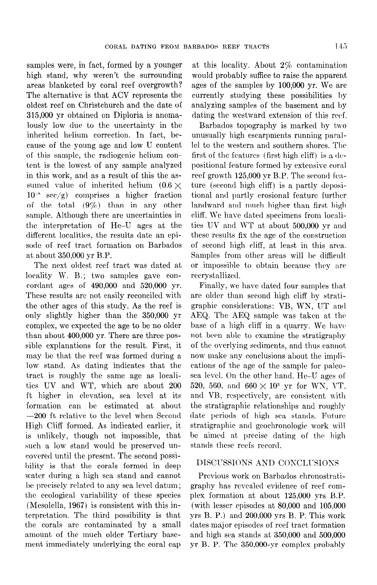samples were, in fact, formed by a younger high stand, why weren't the surrounding areas blanketed by coral reef overgrowth? The alternative is that ACV represents the oldest reef on Christchurch and the date of 315,000 yr obtained on Diploria is anomalously low due to the uncertainty in the inherited helium correction. In fact, because of the young age and low U content of this sample, the radiogenic helium content is the lowest of any sample analyzed in this work, and as a result of this the assumed value of inherited helium  $(0.6 \times$  $10^{-8}$  see/g) comprises a higher fraction of the total (9%) than in any other sample. Although there are uncertainties in the interpretation of He-U ages at the different localities, the results date an episode of reef tract formation on Barbados at about 350,000 vr B.P.

The next oldest reef tract was dated at locality W. B.; two samples gave concordant ages of 490,000 and 520,000 yr. These results are not easily reconciled with the other ages of this study. As the reef is only slightly higher than the 350,000 yr complex, we expected the age to be no older than about 400,000 yr. There are three possible explanations for the result. First, it may be that the reef was formed during a low stand. As dating indicates that the tract is roughly the same age as localities UV and WT, which are about 200 ft higher in elevation, sea level at its formation can be estimated at about -200 ft relative to the level when Second High Cliff formed. As indicated earlier, it is unlikely, though not impossible, that such a low stand would be preserved uncovered until the present. The second possibility is that the corals formed in deep water during a high sea stand and cannot be precisely related to any sea level datum; lhc ecological variability of these species (Mesolella, 1967) is consistent with this interpretation. The third possibility is that the corals are contaminated by a small amount of the much older Tertiary basement immediately underlying the coral cap

at this locality. About 2% contamination would probably suffice to raise the apparent ages of the samples by 100,000 yr. We are currently studying these possibilities by analyzing samples of the basement and by dating the westward extension of this reef.

Barbados topography is marked by two unusually high escarpments running parallel to the western and southern shores. The first of the features (first high cliff) is a  $de$ positional feature formed by extensive coral reef growth 125,000 vr B.P. The second feature (second high cliff) is a partly depositional and partly erosional feature further landward and much higher than first high cliff. We have dated specimens from locnlities UV and WT at about 500,000 yr and these results fix the age of the construction of second high cliff, at least in this area. Samples from other areas will be difficult or impossible to obtain because they are recrystallized.

Finally, we have dated four samples that are older than second high cliff by stratigraphic considerations: VB, WN, UT and AEQ. The AEQ sample was taken at the base of a high cliff in a quarry. We have not been able to examine the stratigraphy of the overlying sediments, and thus cannot now make any conclusions about the implications of the age of the sample for paleosea level. On the other hand, He-U ages of 520, 560, and 660  $\times$  10<sup>3</sup> yr for WN, VT, and VB, respectively, are consistent with the stratigraphic relationships and roughly date periods of high sea stands. Future stratigraphic and geochronologic work will be aimed at precise dating of the high stands these reefs record.

## DISCUSSIONS AND CONCLUSIONS

Previous work on Barbados chronostratigraphy has revealed evidence of reef complex formation at about 125,000 yrs B.P. (with lesser episodes at 80,000 and 105,000 yrs B. P.) and 200,000 yrs B. P. This work dates major episodes of reef tract formation and high sea stands at 350,000 and 500,000 yr B. P. The 350,000-yr complex probably